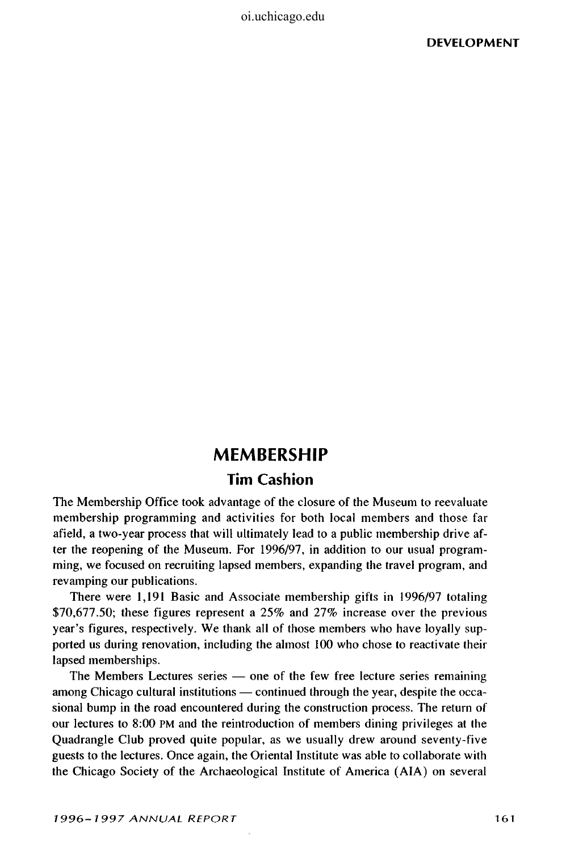oi.uchicago.edu

## **MEMBERSHIP**

## **Tim Cashion**

The Membership Office took advantage of the closure of the Museum to reevaluate membership programming and activities for both local members and those far afield, a two-year process that will ultimately lead to a public membership drive after the reopening of the Museum. For 1996/97, in addition to our usual programming, we focused on recruiting lapsed members, expanding the travel program, and revamping our publications.

There were 1,191 Basic and Associate membership gifts in 1996/97 totaling \$70,677.50; these figures represent a 25% and 27% increase over the previous year's figures, respectively. We thank all of those members who have loyally supported us during renovation, including the almost 100 who chose to reactivate their lapsed memberships.

The Members Lectures series — one of the few free lecture series remaining among Chicago cultural institutions — continued through the year, despite the occasional bump in the road encountered during the construction process. The return of our lectures to 8:00 PM and the reintroduction of members dining privileges at the Quadrangle Club proved quite popular, as we usually drew around seventy-five guests to the lectures. Once again, the Oriental Institute was able to collaborate with the Chicago Society of the Archaeological Institute of America (AIA) on several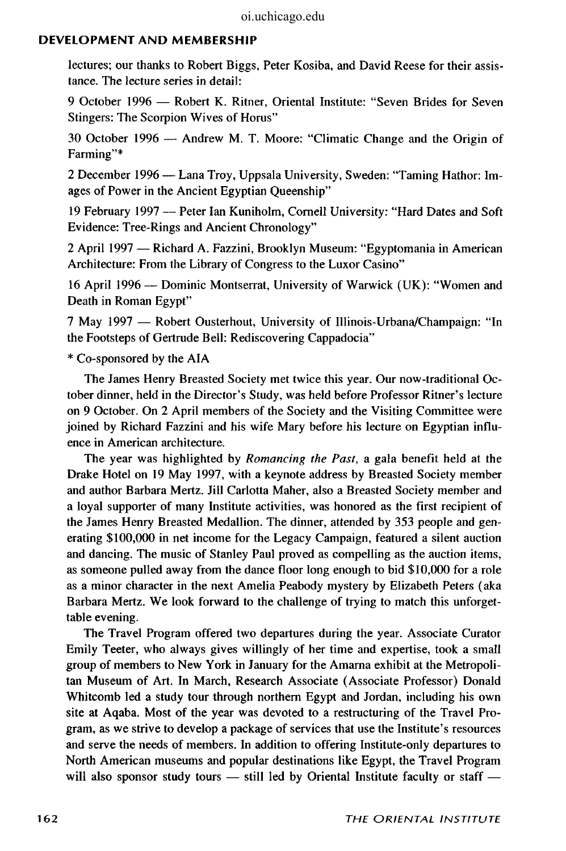## **DEVELOPMENT AND MEMBERSHIP**

lectures; our thanks to Robert Biggs, Peter Kosiba, and David Reese for their assistance. The lecture series in detail:

9 October 1996 — Robert K. Ritner, Oriental Institute: "Seven Brides for Seven Stingers: The Scorpion Wives of Horus"

30 October 1996 — Andrew M. T. Moore: "Climatic Change and the Origin of Farming"\*

2 December 1996 — Lana Troy, Uppsala University, Sweden: "Taming Hathor: Images of Power in the Ancient Egyptian Queenship"

19 February 1997 — Peter Ian Kuniholm, Cornell University: "Hard Dates and Soft Evidence: Tree-Rings and Ancient Chronology"

2 April 1997 — Richard A. Fazzini, Brooklyn Museum: "Egyptomania in American Architecture: From the Library of Congress to the Luxor Casino"

16 April 1996 — Dominic Montserrat, University of Warwick (UK): "Women and Death in Roman Egypt"

7 May 1997 — Robert Ousterhout, University of Illinois-Urbana/Champaign: "In the Footsteps of Gertrude Bell: Rediscovering Cappadocia"

\* Co-sponsored by the AIA

The James Henry Breasted Society met twice this year. Our now-traditional October dinner, held in the Director's Study, was held before Professor Ritner's lecture on 9 October. On 2 April members of the Society and the Visiting Committee were joined by Richard Fazzini and his wife Mary before his lecture on Egyptian influence in American architecture.

The year was highlighted by *Romancing the Past,* a gala benefit held at the Drake Hotel on 19 May 1997, with a keynote address by Breasted Society member and author Barbara Mertz. Jill Carlotta Maher, also a Breasted Society member and a loyal supporter of many Institute activities, was honored as the first recipient of the James Henry Breasted Medallion. The dinner, attended by 353 people and generating \$100,000 in net income for the Legacy Campaign, featured a silent auction and dancing. The music of Stanley Paul proved as compelling as the auction items, as someone pulled away from the dance floor long enough to bid \$10,000 for a role as a minor character in the next Amelia Peabody mystery by Elizabeth Peters (aka Barbara Mertz. We look forward to the challenge of trying to match this unforgettable evening.

The Travel Program offered two departures during the year. Associate Curator Emily Teeter, who always gives willingly of her time and expertise, took a small group of members to New York in January for the Amarna exhibit at the Metropolitan Museum of Art. In March, Research Associate (Associate Professor) Donald Whitcomb led a study tour through northern Egypt and Jordan, including his own site at Aqaba. Most of the year was devoted to a restructuring of the Travel Program, as we strive to develop a package of services that use the Institute's resources and serve the needs of members. In addition to offering Institute-only departures to North American museums and popular destinations like Egypt, the Travel Program will also sponsor study tours — still led by Oriental Institute faculty or staff —